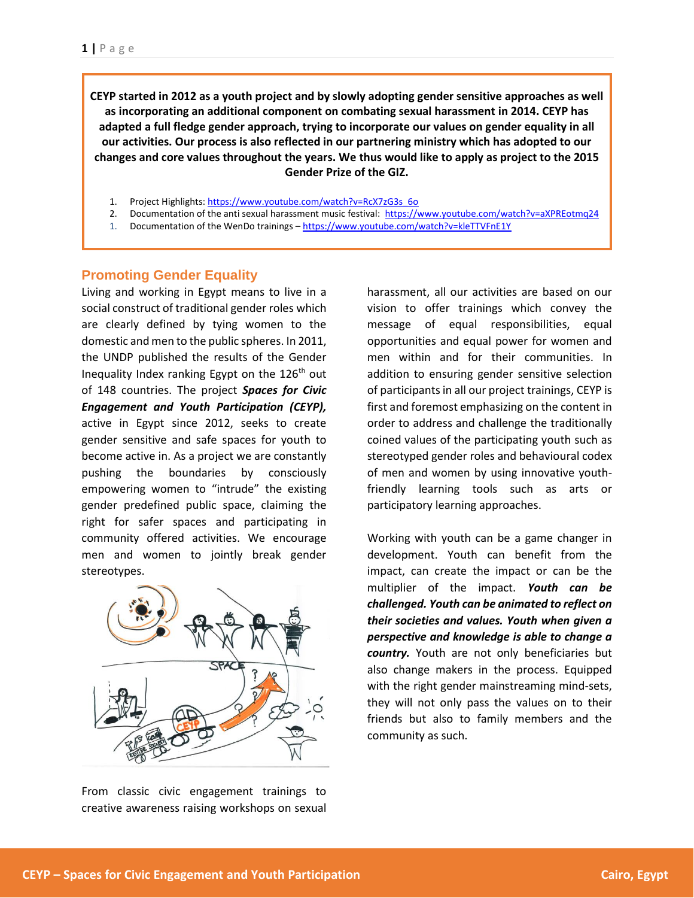**CEYP started in 2012 as a youth project and by slowly adopting gender sensitive approaches as well as incorporating an additional component on combating sexual harassment in 2014. CEYP has adapted a full fledge gender approach, trying to incorporate our values on gender equality in all our activities. Our process is also reflected in our partnering ministry which has adopted to our changes and core values throughout the years. We thus would like to apply as project to the 2015 Gender Prize of the GIZ.**

- 1. Project Highlights: https://www.youtube.com/watch?v=RcX7zG3s 6o
- 2. Documentation of the anti sexual harassment music festival: <https://www.youtube.com/watch?v=aXPREotmq24>
- 1. Documentation of the WenDo trainings <https://www.youtube.com/watch?v=kleTTVFnE1Y>

# **Promoting Gender Equality**

Living and working in Egypt means to live in a social construct of traditional gender roles which are clearly defined by tying women to the domestic and men to the public spheres. In 2011, the UNDP published the results of the Gender Inequality Index ranking Egypt on the  $126<sup>th</sup>$  out of 148 countries. The project *Spaces for Civic Engagement and Youth Participation (CEYP),*  active in Egypt since 2012, seeks to create gender sensitive and safe spaces for youth to become active in. As a project we are constantly pushing the boundaries by consciously empowering women to "intrude" the existing gender predefined public space, claiming the right for safer spaces and participating in community offered activities. We encourage men and women to jointly break gender stereotypes.



From classic civic engagement trainings to creative awareness raising workshops on sexual harassment, all our activities are based on our vision to offer trainings which convey the message of equal responsibilities, equal opportunities and equal power for women and men within and for their communities. In addition to ensuring gender sensitive selection of participants in all our project trainings, CEYP is first and foremost emphasizing on the content in order to address and challenge the traditionally coined values of the participating youth such as stereotyped gender roles and behavioural codex of men and women by using innovative youthfriendly learning tools such as arts or participatory learning approaches.

Working with youth can be a game changer in development. Youth can benefit from the impact, can create the impact or can be the multiplier of the impact. *Youth can be challenged. Youth can be animated to reflect on their societies and values. Youth when given a perspective and knowledge is able to change a country.* Youth are not only beneficiaries but also change makers in the process. Equipped with the right gender mainstreaming mind-sets, they will not only pass the values on to their friends but also to family members and the community as such.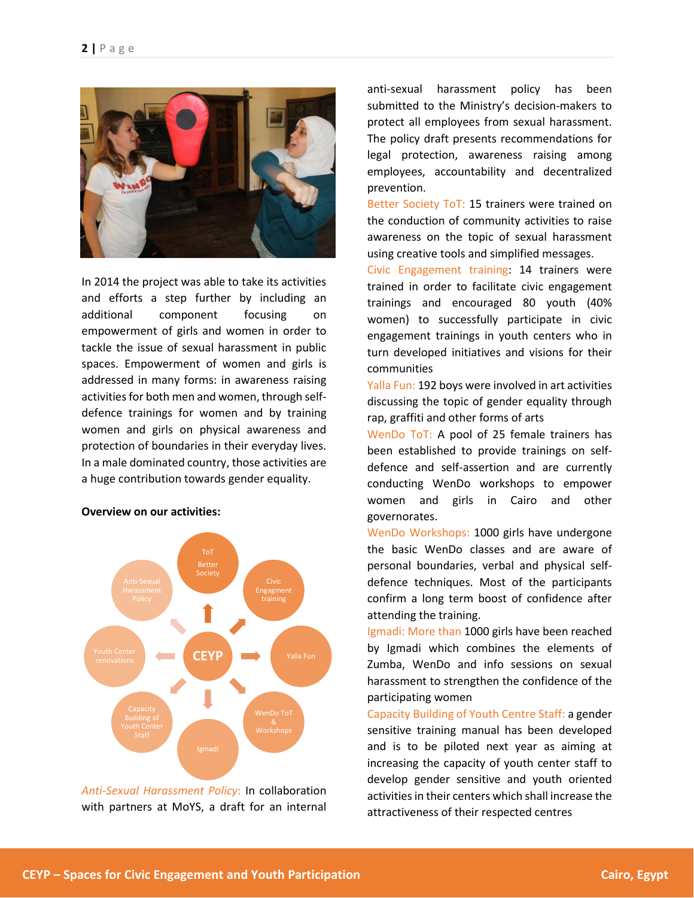

In 2014 the project was able to take its activities and efforts a step further by including an additional component focusing on empowerment of girls and women in order to tackle the issue of sexual harassment in public spaces. Empowerment of women and girls is addressed in many forms: in awareness raising activities for both men and women, through selfdefence trainings for women and by training women and girls on physical awareness and protection of boundaries in their everyday lives. In a male dominated country, those activities are a huge contribution towards gender equality.

#### **Overview on our activities:**



*Anti-Sexual Harassment Policy*: In collaboration with partners at MoYS, a draft for an internal

anti-sexual harassment policy has been submitted to the Ministry's decision-makers to protect all employees from sexual harassment. The policy draft presents recommendations for legal protection, awareness raising among employees, accountability and decentralized prevention.

Better Society ToT: 15 trainers were trained on the conduction of community activities to raise awareness on the topic of sexual harassment using creative tools and simplified messages.

Civic Engagement training: 14 trainers were trained in order to facilitate civic engagement trainings and encouraged 80 youth (40% women) to successfully participate in civic engagement trainings in youth centers who in turn developed initiatives and visions for their communities

Yalla Fun: 192 boys were involved in art activities discussing the topic of gender equality through rap, graffiti and other forms of arts

WenDo ToT: A pool of 25 female trainers has been established to provide trainings on selfdefence and self-assertion and are currently conducting WenDo workshops to empower women and girls in Cairo and other governorates.

WenDo Workshops: 1000 girls have undergone the basic WenDo classes and are aware of personal boundaries, verbal and physical selfdefence techniques. Most of the participants confirm a long term boost of confidence after attending the training.

Igmadi: More than 1000 girls have been reached by Igmadi which combines the elements of Zumba, WenDo and info sessions on sexual harassment to strengthen the confidence of the participating women

Capacity Building of Youth Centre Staff: a gender sensitive training manual has been developed and is to be piloted next year as aiming at increasing the capacity of youth center staff to develop gender sensitive and youth oriented activities in their centers which shall increase the attractiveness of their respected centres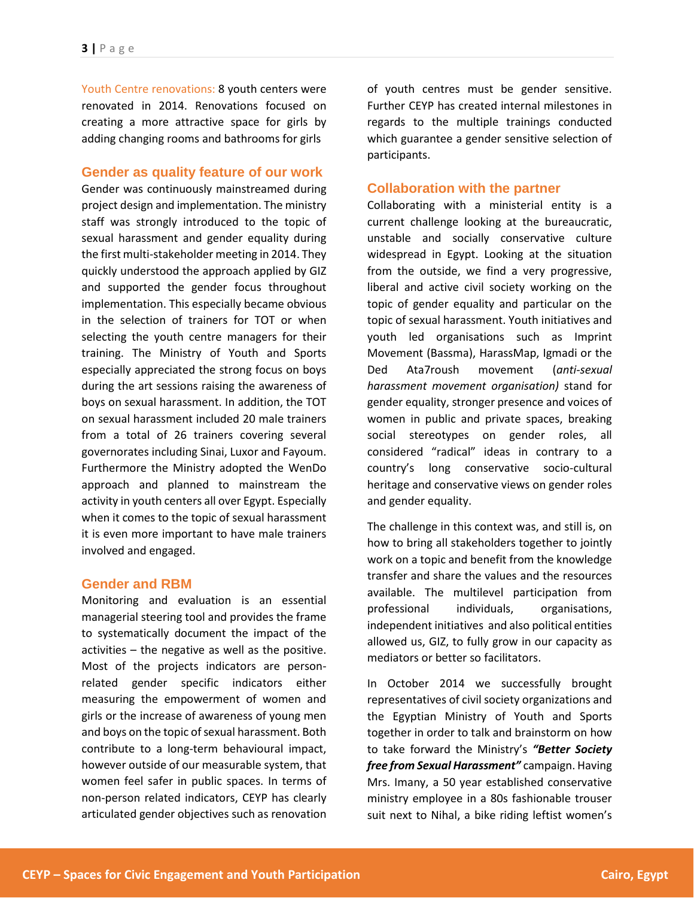Youth Centre renovations: 8 youth centers were renovated in 2014. Renovations focused on creating a more attractive space for girls by adding changing rooms and bathrooms for girls

# **Gender as quality feature of our work**

Gender was continuously mainstreamed during project design and implementation. The ministry staff was strongly introduced to the topic of sexual harassment and gender equality during the first multi-stakeholder meeting in 2014. They quickly understood the approach applied by GIZ and supported the gender focus throughout implementation. This especially became obvious in the selection of trainers for TOT or when selecting the youth centre managers for their training. The Ministry of Youth and Sports especially appreciated the strong focus on boys during the art sessions raising the awareness of boys on sexual harassment. In addition, the TOT on sexual harassment included 20 male trainers from a total of 26 trainers covering several governorates including Sinai, Luxor and Fayoum. Furthermore the Ministry adopted the WenDo approach and planned to mainstream the activity in youth centers all over Egypt. Especially when it comes to the topic of sexual harassment it is even more important to have male trainers involved and engaged.

### **Gender and RBM**

Monitoring and evaluation is an essential managerial steering tool and provides the frame to systematically document the impact of the activities – the negative as well as the positive. Most of the projects indicators are personrelated gender specific indicators either measuring the empowerment of women and girls or the increase of awareness of young men and boys on the topic of sexual harassment. Both contribute to a long-term behavioural impact, however outside of our measurable system, that women feel safer in public spaces. In terms of non-person related indicators, CEYP has clearly articulated gender objectives such as renovation

of youth centres must be gender sensitive. Further CEYP has created internal milestones in regards to the multiple trainings conducted which guarantee a gender sensitive selection of participants.

## **Collaboration with the partner**

Collaborating with a ministerial entity is a current challenge looking at the bureaucratic, unstable and socially conservative culture widespread in Egypt. Looking at the situation from the outside, we find a very progressive, liberal and active civil society working on the topic of gender equality and particular on the topic of sexual harassment. Youth initiatives and youth led organisations such as Imprint Movement (Bassma), HarassMap, Igmadi or the Ded Ata7roush movement (*anti-sexual harassment movement organisation)* stand for gender equality, stronger presence and voices of women in public and private spaces, breaking social stereotypes on gender roles, all considered "radical" ideas in contrary to a country's long conservative socio-cultural heritage and conservative views on gender roles and gender equality.

The challenge in this context was, and still is, on how to bring all stakeholders together to jointly work on a topic and benefit from the knowledge transfer and share the values and the resources available. The multilevel participation from professional individuals, organisations, independent initiatives and also political entities allowed us, GIZ, to fully grow in our capacity as mediators or better so facilitators.

In October 2014 we successfully brought representatives of civil society organizations and the Egyptian Ministry of Youth and Sports together in order to talk and brainstorm on how to take forward the Ministry's *"Better Society free from Sexual Harassment"* campaign. Having Mrs. Imany, a 50 year established conservative ministry employee in a 80s fashionable trouser suit next to Nihal, a bike riding leftist women's